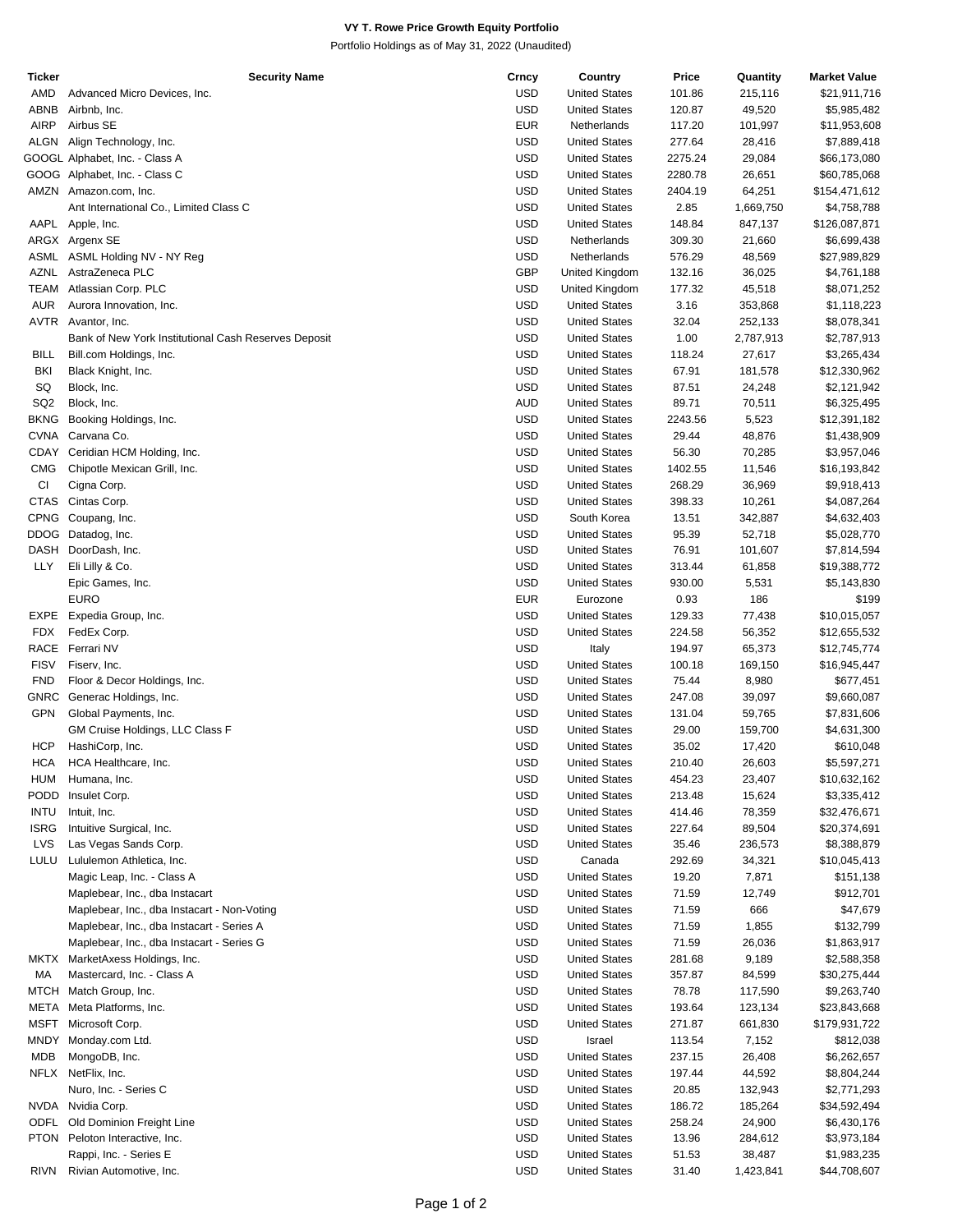## **VY T. Rowe Price Growth Equity Portfolio**

Portfolio Holdings as of May 31, 2022 (Unaudited)

| Ticker          | Security Name                                        | Crncy      | Country              | Price   | Quantity  | <b>Market Value</b> |
|-----------------|------------------------------------------------------|------------|----------------------|---------|-----------|---------------------|
| AMD             | Advanced Micro Devices, Inc.                         | <b>USD</b> | <b>United States</b> | 101.86  | 215,116   | \$21,911,716        |
| ABNB            | Airbnb, Inc.                                         | <b>USD</b> | <b>United States</b> | 120.87  | 49,520    | \$5,985,482         |
| <b>AIRP</b>     | Airbus SE                                            | <b>EUR</b> | Netherlands          | 117.20  | 101,997   | \$11,953,608        |
|                 |                                                      |            |                      |         |           |                     |
|                 | ALGN Align Technology, Inc.                          | <b>USD</b> | <b>United States</b> | 277.64  | 28,416    | \$7,889,418         |
|                 | GOOGL Alphabet, Inc. - Class A                       | <b>USD</b> | <b>United States</b> | 2275.24 | 29,084    | \$66,173,080        |
|                 | GOOG Alphabet, Inc. - Class C                        | <b>USD</b> | <b>United States</b> | 2280.78 | 26,651    | \$60,785,068        |
|                 | AMZN Amazon.com, Inc.                                | <b>USD</b> | <b>United States</b> | 2404.19 | 64,251    | \$154,471,612       |
|                 | Ant International Co., Limited Class C               | <b>USD</b> | <b>United States</b> | 2.85    | 1,669,750 | \$4,758,788         |
|                 | AAPL Apple, Inc.                                     | <b>USD</b> | <b>United States</b> | 148.84  | 847,137   | \$126,087,871       |
|                 |                                                      | <b>USD</b> |                      |         |           |                     |
|                 | ARGX Argenx SE                                       |            | Netherlands          | 309.30  | 21,660    | \$6,699,438         |
|                 | ASML ASML Holding NV - NY Reg                        | <b>USD</b> | Netherlands          | 576.29  | 48,569    | \$27,989,829        |
| AZNL            | AstraZeneca PLC                                      | <b>GBP</b> | United Kingdom       | 132.16  | 36,025    | \$4,761,188         |
| <b>TEAM</b>     | Atlassian Corp. PLC                                  | <b>USD</b> | United Kingdom       | 177.32  | 45,518    | \$8,071,252         |
| <b>AUR</b>      | Aurora Innovation, Inc.                              | <b>USD</b> | <b>United States</b> | 3.16    | 353,868   | \$1,118,223         |
| <b>AVTR</b>     | Avantor, Inc.                                        | <b>USD</b> | <b>United States</b> | 32.04   | 252,133   | \$8,078,341         |
|                 |                                                      | <b>USD</b> |                      |         |           |                     |
|                 | Bank of New York Institutional Cash Reserves Deposit |            | <b>United States</b> | 1.00    | 2,787,913 | \$2,787,913         |
| <b>BILL</b>     | Bill.com Holdings, Inc.                              | <b>USD</b> | <b>United States</b> | 118.24  | 27,617    | \$3,265,434         |
| BKI             | Black Knight, Inc.                                   | <b>USD</b> | <b>United States</b> | 67.91   | 181,578   | \$12,330,962        |
| SQ              | Block, Inc.                                          | <b>USD</b> | <b>United States</b> | 87.51   | 24,248    | \$2,121,942         |
| SQ <sub>2</sub> | Block, Inc.                                          | <b>AUD</b> | <b>United States</b> | 89.71   | 70,511    | \$6,325,495         |
| <b>BKNG</b>     | Booking Holdings, Inc.                               | <b>USD</b> | <b>United States</b> | 2243.56 | 5,523     | \$12,391,182        |
| <b>CVNA</b>     |                                                      | <b>USD</b> |                      | 29.44   |           |                     |
|                 | Carvana Co.                                          |            | <b>United States</b> |         | 48,876    | \$1,438,909         |
| CDAY            | Ceridian HCM Holding, Inc.                           | <b>USD</b> | <b>United States</b> | 56.30   | 70,285    | \$3,957,046         |
| <b>CMG</b>      | Chipotle Mexican Grill, Inc.                         | <b>USD</b> | <b>United States</b> | 1402.55 | 11,546    | \$16,193,842        |
| CI              | Cigna Corp.                                          | <b>USD</b> | <b>United States</b> | 268.29  | 36,969    | \$9,918,413         |
| <b>CTAS</b>     | Cintas Corp.                                         | <b>USD</b> | <b>United States</b> | 398.33  | 10,261    | \$4,087,264         |
|                 | CPNG Coupang, Inc.                                   | <b>USD</b> | South Korea          | 13.51   | 342,887   | \$4,632,403         |
| <b>DDOG</b>     |                                                      | <b>USD</b> | <b>United States</b> | 95.39   | 52,718    |                     |
|                 | Datadog, Inc.                                        |            |                      |         |           | \$5,028,770         |
| <b>DASH</b>     | DoorDash, Inc.                                       | <b>USD</b> | <b>United States</b> | 76.91   | 101,607   | \$7,814,594         |
| <b>LLY</b>      | Eli Lilly & Co.                                      | <b>USD</b> | <b>United States</b> | 313.44  | 61,858    | \$19,388,772        |
|                 | Epic Games, Inc.                                     | <b>USD</b> | <b>United States</b> | 930.00  | 5,531     | \$5,143,830         |
|                 | <b>EURO</b>                                          | <b>EUR</b> | Eurozone             | 0.93    | 186       | \$199               |
| EXPE            | Expedia Group, Inc.                                  | <b>USD</b> | <b>United States</b> | 129.33  | 77,438    | \$10,015,057        |
| <b>FDX</b>      | FedEx Corp.                                          | <b>USD</b> | <b>United States</b> | 224.58  | 56,352    | \$12,655,532        |
| RACE            | Ferrari NV                                           | <b>USD</b> |                      |         |           |                     |
|                 |                                                      |            | Italy                | 194.97  | 65,373    | \$12,745,774        |
| <b>FISV</b>     | Fiserv, Inc.                                         | <b>USD</b> | <b>United States</b> | 100.18  | 169,150   | \$16,945,447        |
| <b>FND</b>      | Floor & Decor Holdings, Inc.                         | <b>USD</b> | <b>United States</b> | 75.44   | 8,980     | \$677,451           |
| <b>GNRC</b>     | Generac Holdings, Inc.                               | <b>USD</b> | <b>United States</b> | 247.08  | 39,097    | \$9,660,087         |
| <b>GPN</b>      | Global Payments, Inc.                                | <b>USD</b> | <b>United States</b> | 131.04  | 59,765    | \$7,831,606         |
|                 | GM Cruise Holdings, LLC Class F                      | <b>USD</b> | <b>United States</b> | 29.00   | 159,700   | \$4,631,300         |
| HCP             | HashiCorp, Inc.                                      | <b>USD</b> | <b>United States</b> | 35.02   | 17,420    | \$610,048           |
|                 |                                                      |            |                      |         |           |                     |
| <b>HCA</b>      | HCA Healthcare, Inc.                                 | <b>USD</b> | <b>United States</b> | 210.40  | 26,603    | \$5,597,271         |
| HUM             | Humana, Inc.                                         | <b>USD</b> | <b>United States</b> | 454.23  | 23,407    | \$10,632,162        |
| <b>PODD</b>     | Insulet Corp.                                        | <b>USD</b> | <b>United States</b> | 213.48  | 15,624    | \$3,335,412         |
| <b>INTU</b>     | Intuit, Inc.                                         | <b>USD</b> | <b>United States</b> | 414.46  | 78,359    | \$32,476,671        |
| <b>ISRG</b>     | Intuitive Surgical, Inc.                             | <b>USD</b> | <b>United States</b> | 227.64  | 89,504    | \$20,374,691        |
| <b>LVS</b>      | Las Vegas Sands Corp.                                | <b>USD</b> | <b>United States</b> | 35.46   | 236,573   | \$8,388,879         |
|                 |                                                      |            |                      |         |           |                     |
| LULU            | Lululemon Athletica, Inc.                            | <b>USD</b> | Canada               | 292.69  | 34,321    | \$10,045,413        |
|                 | Magic Leap, Inc. - Class A                           | <b>USD</b> | <b>United States</b> | 19.20   | 7,871     | \$151,138           |
|                 | Maplebear, Inc., dba Instacart                       | <b>USD</b> | <b>United States</b> | 71.59   | 12,749    | \$912,701           |
|                 | Maplebear, Inc., dba Instacart - Non-Voting          | <b>USD</b> | <b>United States</b> | 71.59   | 666       | \$47,679            |
|                 | Maplebear, Inc., dba Instacart - Series A            | <b>USD</b> | <b>United States</b> | 71.59   | 1,855     | \$132,799           |
|                 | Maplebear, Inc., dba Instacart - Series G            | <b>USD</b> | <b>United States</b> | 71.59   | 26,036    | \$1,863,917         |
|                 |                                                      |            |                      |         |           |                     |
| MKTX            | MarketAxess Holdings, Inc.                           | <b>USD</b> | <b>United States</b> | 281.68  | 9,189     | \$2,588,358         |
| МA              | Mastercard, Inc. - Class A                           | <b>USD</b> | <b>United States</b> | 357.87  | 84,599    | \$30,275,444        |
|                 | MTCH Match Group, Inc.                               | <b>USD</b> | <b>United States</b> | 78.78   | 117,590   | \$9,263,740         |
| META            | Meta Platforms, Inc.                                 | <b>USD</b> | <b>United States</b> | 193.64  | 123,134   | \$23,843,668        |
| MSFT            | Microsoft Corp.                                      | <b>USD</b> | <b>United States</b> | 271.87  | 661,830   | \$179,931,722       |
| <b>MNDY</b>     | Monday.com Ltd.                                      | <b>USD</b> | Israel               | 113.54  | 7,152     | \$812,038           |
|                 |                                                      |            |                      |         |           |                     |
| MDB             | MongoDB, Inc.                                        | <b>USD</b> | <b>United States</b> | 237.15  | 26,408    | \$6,262,657         |
|                 | NFLX NetFlix, Inc.                                   | <b>USD</b> | <b>United States</b> | 197.44  | 44,592    | \$8,804,244         |
|                 | Nuro, Inc. - Series C                                | <b>USD</b> | <b>United States</b> | 20.85   | 132,943   | \$2,771,293         |
|                 | NVDA Nvidia Corp.                                    | <b>USD</b> | <b>United States</b> | 186.72  | 185,264   | \$34,592,494        |
| <b>ODFL</b>     | Old Dominion Freight Line                            | <b>USD</b> | <b>United States</b> | 258.24  | 24,900    | \$6,430,176         |
|                 | PTON Peloton Interactive, Inc.                       | <b>USD</b> | <b>United States</b> | 13.96   | 284,612   | \$3,973,184         |
|                 |                                                      |            |                      |         |           |                     |
|                 | Rappi, Inc. - Series E                               | <b>USD</b> | <b>United States</b> | 51.53   | 38,487    | \$1,983,235         |
| <b>RIVN</b>     | Rivian Automotive, Inc.                              | <b>USD</b> | <b>United States</b> | 31.40   | 1,423,841 | \$44,708,607        |